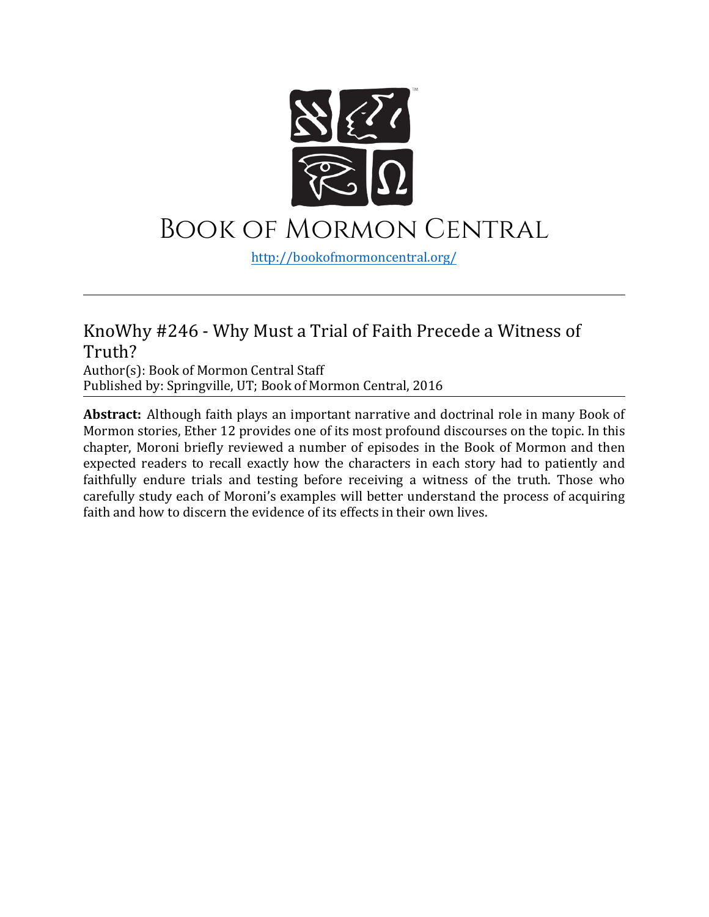

## Book of Mormon Central

[http://bookofmormoncentral.](http://bookofmormoncentral.com/)org/

## KnoWhy #246 - Why Must a Trial of Faith Precede a Witness of Truth?

Author(s): Book of Mormon Central Staff Published by: Springville, UT; Book of Mormon Central, 2016

**Abstract:** Although faith plays an important narrative and doctrinal role in many Book of Mormon stories, Ether 12 provides one of its most profound discourses on the topic. In this chapter, Moroni briefly reviewed a number of episodes in the Book of Mormon and then expected readers to recall exactly how the characters in each story had to patiently and faithfully endure trials and testing before receiving a witness of the truth. Those who carefully study each of Moroni's examples will better understand the process of acquiring faith and how to discern the evidence of its effects in their own lives.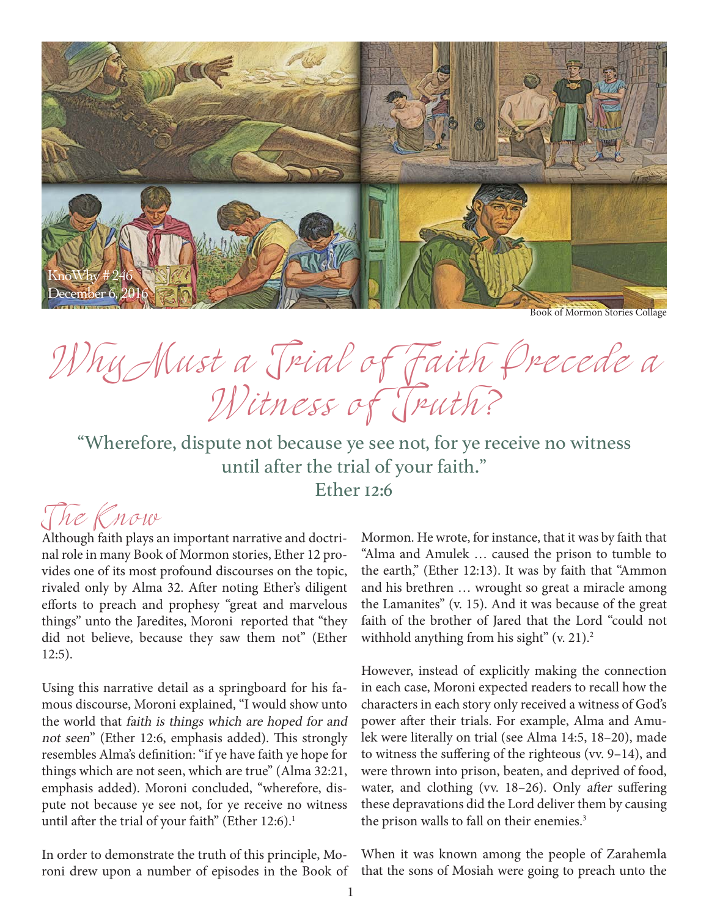

Book of Mormon Stories Collage

Why Must a Trial of Faith Precede a Witness of Truth?

"Wherefore, dispute not because ye see not, for ye receive no witness until after the trial of your faith." Ether 12:6

## T he Know

Although faith plays an important narrative and doctrinal role in many Book of Mormon stories, Ether 12 provides one of its most profound discourses on the topic, rivaled only by Alma 32. After noting Ether's diligent efforts to preach and prophesy "great and marvelous things" unto the Jaredites, Moroni reported that "they did not believe, because they saw them not" (Ether 12:5).

Using this narrative detail as a springboard for his famous discourse, Moroni explained, "I would show unto the world that faith is things which are hoped for and not seen" (Ether 12:6, emphasis added). This strongly resembles Alma's definition: "if ye have faith ye hope for things which are not seen, which are true" (Alma 32:21, emphasis added). Moroni concluded, "wherefore, dispute not because ye see not, for ye receive no witness until after the trial of your faith" (Ether  $12:6$ ).<sup>1</sup>

In order to demonstrate the truth of this principle, Moroni drew upon a number of episodes in the Book of Mormon. He wrote, for instance, that it was by faith that "Alma and Amulek … caused the prison to tumble to the earth," (Ether 12:13). It was by faith that "Ammon and his brethren … wrought so great a miracle among the Lamanites" (v. 15). And it was because of the great faith of the brother of Jared that the Lord "could not withhold anything from his sight"  $(v, 21)$ .<sup>2</sup>

However, instead of explicitly making the connection in each case, Moroni expected readers to recall how the characters in each story only received a witness of God's power after their trials. For example, Alma and Amulek were literally on trial (see Alma 14:5, 18–20), made to witness the suffering of the righteous (vv. 9–14), and were thrown into prison, beaten, and deprived of food, water, and clothing (vv. 18-26). Only after suffering these depravations did the Lord deliver them by causing the prison walls to fall on their enemies.<sup>3</sup>

When it was known among the people of Zarahemla that the sons of Mosiah were going to preach unto the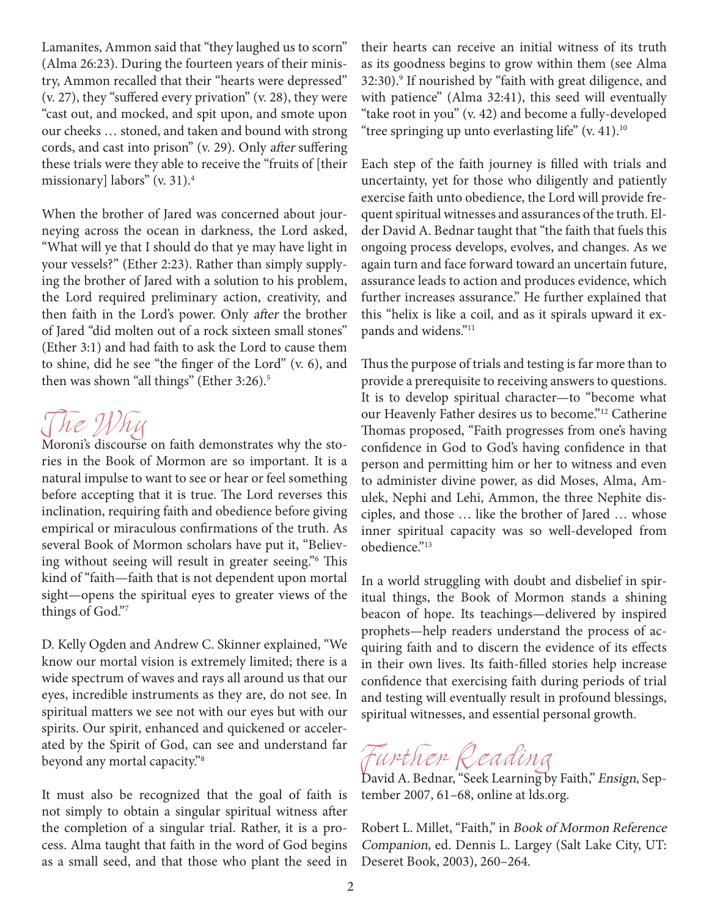Lamanites, Ammon said that "they laughed us to scorn" (Alma 26:23). During the fourteen years of their ministry, Ammon recalled that their "hearts were depressed" (v. 27), they "suffered every privation" (v. 28), they were "cast out, and mocked, and spit upon, and smote upon our cheeks … stoned, and taken and bound with strong cords, and cast into prison" (v. 29). Only after suffering these trials were they able to receive the "fruits of [their missionary] labors" (v. 31).4

When the brother of Jared was concerned about journeying across the ocean in darkness, the Lord asked, "What will ye that I should do that ye may have light in your vessels?" (Ether 2:23). Rather than simply supplying the brother of Jared with a solution to his problem, the Lord required preliminary action, creativity, and then faith in the Lord's power. Only after the brother of Jared "did molten out of a rock sixteen small stones" (Ether 3:1) and had faith to ask the Lord to cause them to shine, did he see "the finger of the Lord" (v. 6), and then was shown "all things" (Ether 3:26).<sup>5</sup>



Moroni's discourse on faith demonstrates why the stories in the Book of Mormon are so important. It is a natural impulse to want to see or hear or feel something before accepting that it is true. The Lord reverses this inclination, requiring faith and obedience before giving empirical or miraculous confirmations of the truth. As several Book of Mormon scholars have put it, "Believing without seeing will result in greater seeing."6 This kind of "faith—faith that is not dependent upon mortal sight—opens the spiritual eyes to greater views of the things of God."7

D. Kelly Ogden and Andrew C. Skinner explained, "We know our mortal vision is extremely limited; there is a wide spectrum of waves and rays all around us that our eyes, incredible instruments as they are, do not see. In spiritual matters we see not with our eyes but with our spirits. Our spirit, enhanced and quickened or accelerated by the Spirit of God, can see and understand far beyond any mortal capacity."8

It must also be recognized that the goal of faith is not simply to obtain a singular spiritual witness after the completion of a singular trial. Rather, it is a process. Alma taught that faith in the word of God begins as a small seed, and that those who plant the seed in

their hearts can receive an initial witness of its truth as its goodness begins to grow within them (see Alma 32:30).9 If nourished by "faith with great diligence, and with patience" (Alma 32:41), this seed will eventually "take root in you" (v. 42) and become a fully-developed "tree springing up unto everlasting life"  $(v, 41)$ .<sup>10</sup>

Each step of the faith journey is filled with trials and uncertainty, yet for those who diligently and patiently exercise faith unto obedience, the Lord will provide frequent spiritual witnesses and assurances of the truth. Elder David A. Bednar taught that "the faith that fuels this ongoing process develops, evolves, and changes. As we again turn and face forward toward an uncertain future, assurance leads to action and produces evidence, which further increases assurance." He further explained that this "helix is like a coil, and as it spirals upward it expands and widens."<sup>11</sup>

Thus the purpose of trials and testing is far more than to provide a prerequisite to receiving answers to questions. It is to develop spiritual character—to "become what our Heavenly Father desires us to become."12 Catherine Thomas proposed, "Faith progresses from one's having confidence in God to God's having confidence in that person and permitting him or her to witness and even to administer divine power, as did Moses, Alma, Amulek, Nephi and Lehi, Ammon, the three Nephite disciples, and those … like the brother of Jared … whose inner spiritual capacity was so well-developed from obedience."13

In a world struggling with doubt and disbelief in spiritual things, the Book of Mormon stands a shining beacon of hope. Its teachings—delivered by inspired prophets—help readers understand the process of acquiring faith and to discern the evidence of its effects in their own lives. Its faith-filled stories help increase confidence that exercising faith during periods of trial and testing will eventually result in profound blessings, spiritual witnesses, and essential personal growth.

Further Reading

David A. Bednar, "Seek Learning by Faith," Ensign, September 2007, 61–68, online at lds.org.

Robert L. Millet, "Faith," in Book of Mormon Reference Companion, ed. Dennis L. Largey (Salt Lake City, UT: Deseret Book, 2003), 260–264.